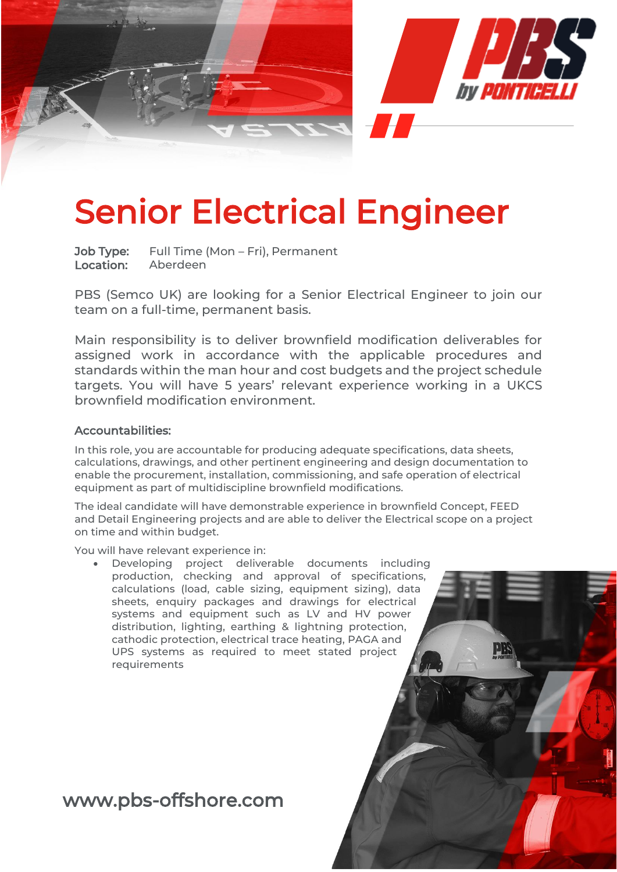

# Senior Electrical Engineer

Job Type: Full Time (Mon – Fri), Permanent Location: Aberdeen

PBS (Semco UK) are looking for a Senior Electrical Engineer to join our team on a full-time, permanent basis.

Main responsibility is to deliver brownfield modification deliverables for assigned work in accordance with the applicable procedures and standards within the man hour and cost budgets and the project schedule targets. You will have 5 years' relevant experience working in a UKCS brownfield modification environment.

#### Accountabilities:

In this role, you are accountable for producing adequate specifications, data sheets, calculations, drawings, and other pertinent engineering and design documentation to enable the procurement, installation, commissioning, and safe operation of electrical equipment as part of multidiscipline brownfield modifications.

The ideal candidate will have demonstrable experience in brownfield Concept, FEED and Detail Engineering projects and are able to deliver the Electrical scope on a project on time and within budget.

You will have relevant experience in:

Developing project deliverable documents including production, checking and approval of specifications, calculations (load, cable sizing, equipment sizing), data sheets, enquiry packages and drawings for electrical systems and equipment such as LV and HV power distribution, lighting, earthing & lightning protection, cathodic protection, electrical trace heating, PAGA and UPS systems as required to meet stated project requirements

## www.pbs-offshore.com